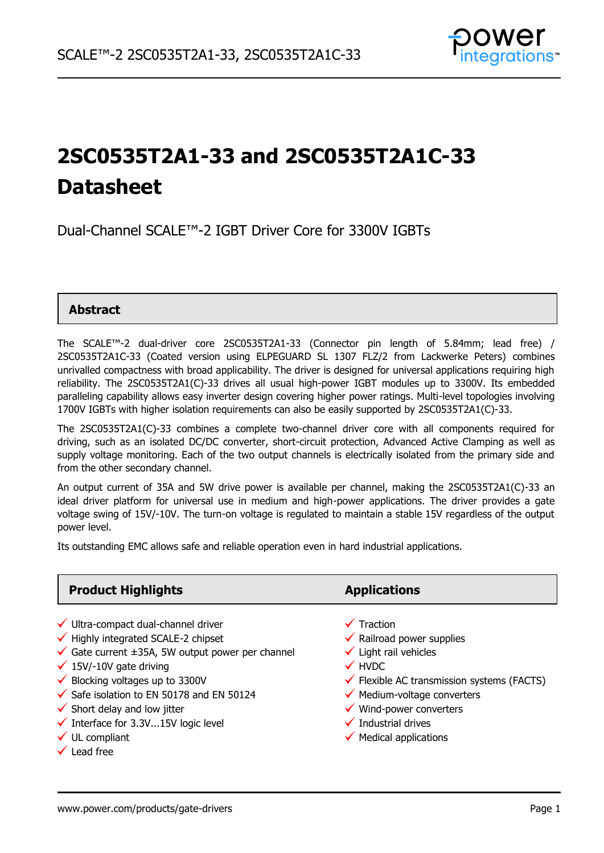

# **2SC0535T2A1-33 and 2SC0535T2A1C-33 Datasheet**

## Dual-Channel SCALE™-2 IGBT Driver Core for 3300V IGBTs

#### **Abstract**

The SCALE™-2 dual-driver core 2SC0535T2A1-33 (Connector pin length of 5.84mm; lead free) / 2SC0535T2A1C-33 (Coated version using ELPEGUARD SL 1307 FLZ/2 from Lackwerke Peters) combines unrivalled compactness with broad applicability. The driver is designed for universal applications requiring high reliability. The 2SC0535T2A1(C)-33 drives all usual high-power IGBT modules up to 3300V. Its embedded paralleling capability allows easy inverter design covering higher power ratings. Multi-level topologies involving 1700V IGBTs with higher isolation requirements can also be easily supported by 2SC0535T2A1(C)-33.

The 2SC0535T2A1(C)-33 combines a complete two-channel driver core with all components required for driving, such as an isolated DC/DC converter, short-circuit protection, Advanced Active Clamping as well as supply voltage monitoring. Each of the two output channels is electrically isolated from the primary side and from the other secondary channel.

An output current of 35A and 5W drive power is available per channel, making the 2SC0535T2A1(C)-33 an ideal driver platform for universal use in medium and high-power applications. The driver provides a gate voltage swing of 15V/-10V. The turn-on voltage is regulated to maintain a stable 15V regardless of the output power level.

Its outstanding EMC allows safe and reliable operation even in hard industrial applications.

### **Product Highlights <b>Applications**

- $\checkmark$  Ultra-compact dual-channel driver  $\checkmark$  Traction
- $\checkmark$  Highly integrated SCALE-2 chipset  $\checkmark$  Railroad power supplies
- V Highly integrated SCALE-2 chipset and the control velocity of Railroad power si<br>V Gate current ±35A, 5W output power per channel velocity Light rail vehicles 15V/-10V gate driving HVDC
- 
- 
- Safe isolation to EN <sup>50178</sup> and EN 50124 Medium-voltage converters
- ◆ Safe isolation to EN 50178 and EN 50124 → Nedium-voltage converters<br>◆ Short delay and low jitter delay and low jitter delay and the service of the service of the service of the s
- V Short delay and low jitter<br>V Interface for 3.3V...15V logic level v Industrial drives UL compliant Medical applications
- $\checkmark$  UL compliant<br> $\checkmark$  Lead free
- 

- 
- 
- 
- 
- $\checkmark$  15V/-10V gate driving<br>  $\checkmark$  Blocking voltages up to 3300V  $\checkmark$  Flexible AC transmission systems (FACTS)
	-
	-
	-
	-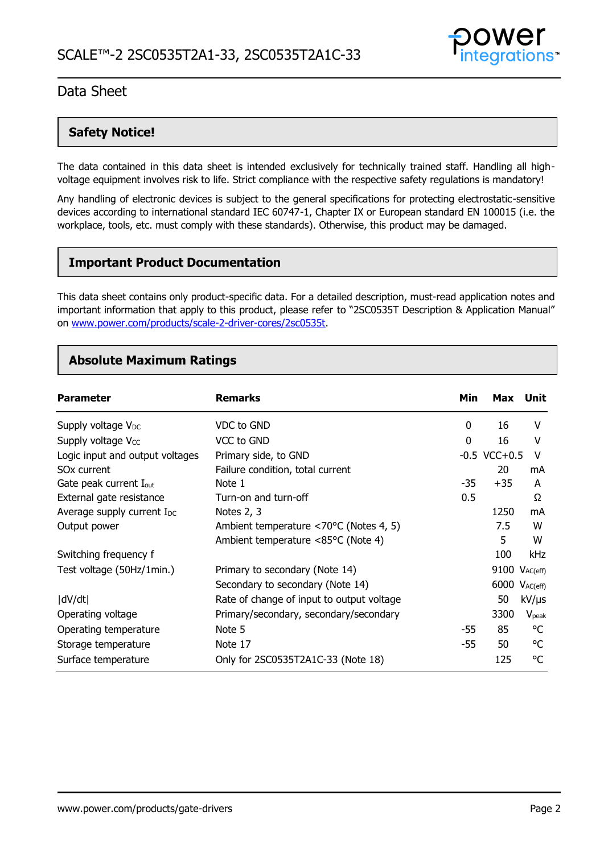

### **Safety Notice!**

The data contained in this data sheet is intended exclusively for technically trained staff. Handling all highvoltage equipment involves risk to life. Strict compliance with the respective safety regulations is mandatory!

Any handling of electronic devices is subject to the general specifications for protecting electrostatic-sensitive devices according to international standard IEC 60747-1, Chapter IX or European standard EN 100015 (i.e. the workplace, tools, etc. must comply with these standards). Otherwise, this product may be damaged.

### **Important Product Documentation**

This data sheet contains only product-specific data. For a detailed description, must-read application notes and important information that apply to this product, please refer to "2SC0535T Description & Application Manual" on [www.power.com/products/scale-2-driver-cores/2sc0535t.](https://www.power.com/products/scale-2-driver-cores/2sc0535t)

### **Absolute Maximum Ratings**

| <b>Parameter</b>                       | <b>Remarks</b>                            | Min   | <b>Max</b>        | Unit                 |
|----------------------------------------|-------------------------------------------|-------|-------------------|----------------------|
| Supply voltage V <sub>DC</sub>         | VDC to GND                                | 0     | 16                | V                    |
| Supply voltage V <sub>cc</sub>         | VCC to GND                                | 0     | 16                | ٧                    |
| Logic input and output voltages        | Primary side, to GND                      |       | $-0.5$ VCC $+0.5$ | v                    |
| SO <sub>x</sub> current                | Failure condition, total current          |       | 20                | mA                   |
| Gate peak current I <sub>out</sub>     | Note 1                                    | $-35$ | $+35$             | A                    |
| External gate resistance               | Turn-on and turn-off                      | 0.5   |                   | Ω                    |
| Average supply current I <sub>DC</sub> | Notes 2, 3                                |       | 1250              | mA                   |
| Output power                           | Ambient temperature <70°C (Notes 4, 5)    |       | 7.5               | W                    |
|                                        | Ambient temperature <85°C (Note 4)        |       | 5                 | W                    |
| Switching frequency f                  |                                           |       | 100               | kHz                  |
| Test voltage (50Hz/1min.)              | Primary to secondary (Note 14)            |       |                   | $9100$ $V_{AC(eff)}$ |
|                                        | Secondary to secondary (Note 14)          |       |                   | 6000 $V_{AC(eff)}$   |
| dV/dt                                  | Rate of change of input to output voltage |       | 50                | $kV/\mu s$           |
| Operating voltage                      | Primary/secondary, secondary/secondary    |       | 3300              | V <sub>peak</sub>    |
| Operating temperature                  | Note 5                                    | -55   | 85                | °C                   |
| Storage temperature                    | Note 17                                   | $-55$ | 50                | °C                   |
| Surface temperature                    | Only for 2SC0535T2A1C-33 (Note 18)        |       | 125               | °C                   |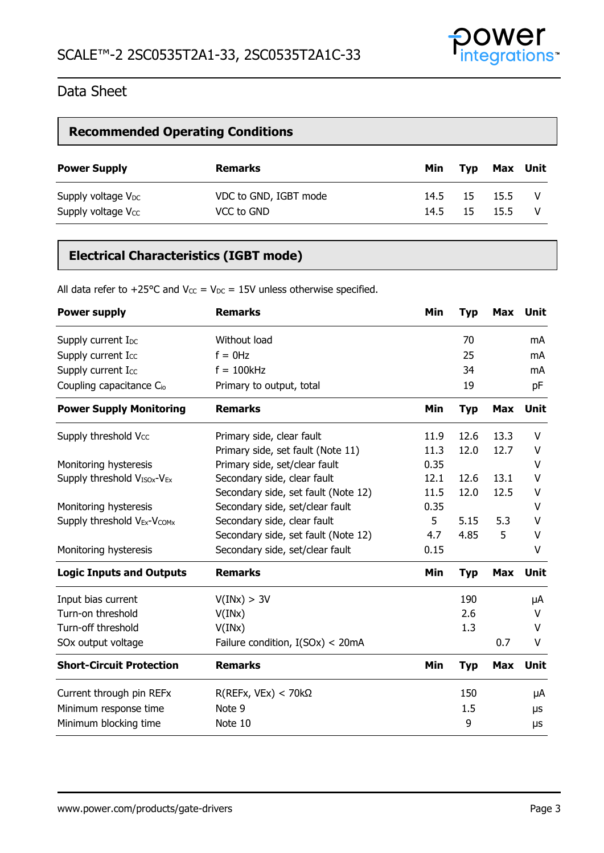

### **Recommended Operating Conditions**

| <b>Power Supply</b>            | <b>Remarks</b>        | Min  | Typ            | Max Unit |  |
|--------------------------------|-----------------------|------|----------------|----------|--|
| Supply voltage $V_{DC}$        | VDC to GND, IGBT mode | 14.5 |                | 15 15.5  |  |
| Supply voltage V <sub>cc</sub> | VCC to GND            |      | $14.5$ 15 15.5 |          |  |

### **Electrical Characteristics (IGBT mode)**

All data refer to +25°C and V $_{\text{CC}}$  = V<sub>DC</sub> = 15V unless otherwise specified.

| <b>Power supply</b>                                 | <b>Remarks</b>                      | <b>Min</b> | <b>Typ</b> | Max        | Unit |
|-----------------------------------------------------|-------------------------------------|------------|------------|------------|------|
| Supply current I <sub>DC</sub>                      | Without load                        |            | 70         |            | mA   |
| Supply current Icc                                  | $f = 0$ Hz                          |            | 25         |            | mA   |
| Supply current Icc                                  | $f = 100$ kHz                       |            | 34         |            | mA   |
| Coupling capacitance C <sub>io</sub>                | Primary to output, total            |            | 19         |            | pF   |
| <b>Power Supply Monitoring</b>                      | <b>Remarks</b>                      | Min        | <b>Typ</b> | <b>Max</b> | Unit |
| Supply threshold Vcc                                | Primary side, clear fault           | 11.9       | 12.6       | 13.3       | v    |
|                                                     | Primary side, set fault (Note 11)   | 11.3       | 12.0       | 12.7       | ٧    |
| Monitoring hysteresis                               | Primary side, set/clear fault       | 0.35       |            |            | V    |
| Supply threshold V <sub>ISOx</sub> -V <sub>Ex</sub> | Secondary side, clear fault         | 12.1       | 12.6       | 13.1       | v    |
|                                                     | Secondary side, set fault (Note 12) | 11.5       | 12.0       | 12.5       | V    |
| Monitoring hysteresis                               | Secondary side, set/clear fault     | 0.35       |            |            | v    |
| Supply threshold V <sub>Ex</sub> -V <sub>COMx</sub> | Secondary side, clear fault         | 5          | 5.15       | 5.3        | v    |
|                                                     | Secondary side, set fault (Note 12) | 4.7        | 4.85       | 5          | V    |
| Monitoring hysteresis                               | Secondary side, set/clear fault     | 0.15       |            |            | v    |
| <b>Logic Inputs and Outputs</b>                     | <b>Remarks</b>                      | Min        | <b>Typ</b> | <b>Max</b> | Unit |
| Input bias current                                  | V(INx) > 3V                         |            | 190        |            | μA   |
| Turn-on threshold                                   | V(INx)                              |            | 2.6        |            | V    |
| Turn-off threshold                                  | V(INx)                              |            | 1.3        |            | V    |
| SOx output voltage                                  | Failure condition, $I(SOx) < 20mA$  |            |            | 0.7        | V    |
| <b>Short-Circuit Protection</b>                     | <b>Remarks</b>                      | Min        | <b>Typ</b> | <b>Max</b> | Unit |
| Current through pin REFx                            | $R(REFx, VEx) < 70k\Omega$          |            | 150        |            | μA   |
| Minimum response time                               | Note 9                              |            | 1.5        |            | μs   |
| Minimum blocking time                               | Note 10                             |            | 9          |            | μs   |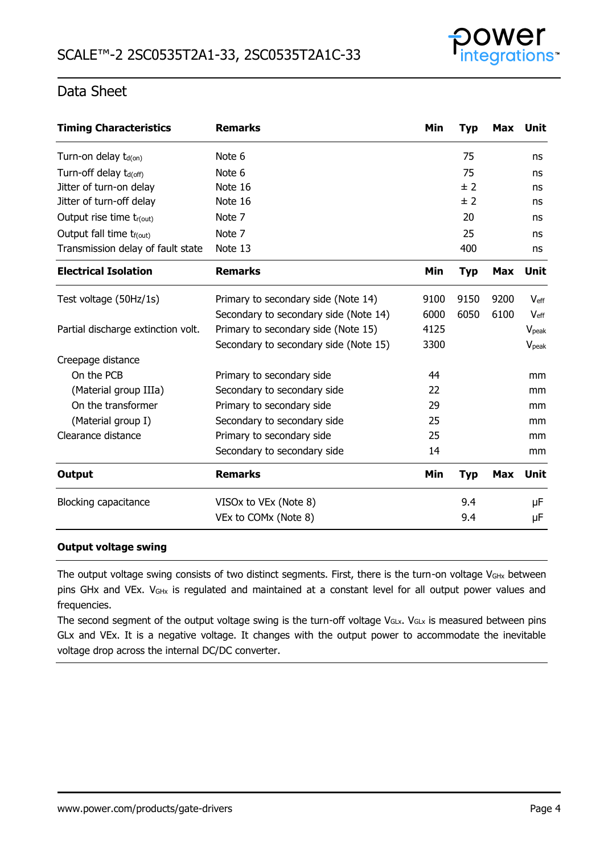

| <b>Timing Characteristics</b>        | <b>Remarks</b>                        | Min  | <b>Typ</b> | Max        | Unit              |
|--------------------------------------|---------------------------------------|------|------------|------------|-------------------|
| Turn-on delay $t_{d(on)}$            | Note 6                                |      | 75         |            | ns                |
| Turn-off delay t <sub>d(off)</sub>   | Note 6                                |      | 75         |            | ns                |
| Jitter of turn-on delay              | Note 16                               |      | ± 2        |            | ns                |
| Jitter of turn-off delay             | Note 16                               |      | ± 2        |            | ns                |
| Output rise time tr(out)             | Note 7                                |      | 20         |            | ns                |
| Output fall time t <sub>f(out)</sub> | Note 7                                |      | 25         |            | ns                |
| Transmission delay of fault state    | Note 13                               |      | 400        |            | ns                |
| <b>Electrical Isolation</b>          | <b>Remarks</b>                        | Min  | <b>Typ</b> | <b>Max</b> | Unit              |
| Test voltage (50Hz/1s)               | Primary to secondary side (Note 14)   | 9100 | 9150       | 9200       | $V_{\text{eff}}$  |
|                                      | Secondary to secondary side (Note 14) | 6000 | 6050       | 6100       | $V_{\rm eff}$     |
| Partial discharge extinction volt.   | Primary to secondary side (Note 15)   | 4125 |            |            | V <sub>peak</sub> |
|                                      | Secondary to secondary side (Note 15) | 3300 |            |            | V <sub>peak</sub> |
| Creepage distance                    |                                       |      |            |            |                   |
| On the PCB                           | Primary to secondary side             | 44   |            |            | mm                |
| (Material group IIIa)                | Secondary to secondary side           | 22   |            |            | mm                |
| On the transformer                   | Primary to secondary side             | 29   |            |            | mm                |
| (Material group I)                   | Secondary to secondary side           | 25   |            |            | mm                |
| Clearance distance                   | Primary to secondary side             | 25   |            |            | mm                |
|                                      | Secondary to secondary side           | 14   |            |            | mm                |
| <b>Output</b>                        | <b>Remarks</b>                        | Min  | <b>Typ</b> | <b>Max</b> | Unit              |
| <b>Blocking capacitance</b>          | VISOx to VEx (Note 8)                 |      | 9.4        |            | μF                |
|                                      | VEx to COMx (Note 8)                  |      | 9.4        |            | μF                |

#### **Output voltage swing**

The output voltage swing consists of two distinct segments. First, there is the turn-on voltage V<sub>GHx</sub> between pins GHx and VEx. V<sub>GHx</sub> is regulated and maintained at a constant level for all output power values and frequencies.

The second segment of the output voltage swing is the turn-off voltage VGLx. VGLx is measured between pins GLx and VEx. It is a negative voltage. It changes with the output power to accommodate the inevitable voltage drop across the internal DC/DC converter.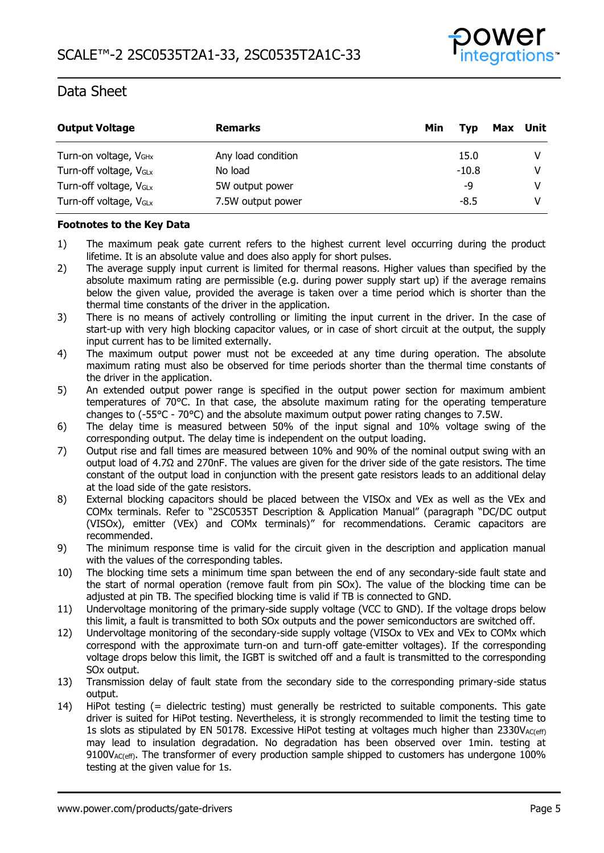

| <b>Output Voltage</b>              | <b>Remarks</b>     | Min<br>Max<br>Tvp | Unit |
|------------------------------------|--------------------|-------------------|------|
| Turn-on voltage, V <sub>GHx</sub>  | Any load condition | 15.0              |      |
| Turn-off voltage, V <sub>GLx</sub> | No load            | $-10.8$           |      |
| Turn-off voltage, V <sub>GLx</sub> | 5W output power    | -9                |      |
| Turn-off voltage, V <sub>GLx</sub> | 7.5W output power  | $-8.5$            |      |

#### **Footnotes to the Key Data**

- 1) The maximum peak gate current refers to the highest current level occurring during the product lifetime. It is an absolute value and does also apply for short pulses.
- 2) The average supply input current is limited for thermal reasons. Higher values than specified by the absolute maximum rating are permissible (e.g. during power supply start up) if the average remains below the given value, provided the average is taken over a time period which is shorter than the thermal time constants of the driver in the application.
- 3) There is no means of actively controlling or limiting the input current in the driver. In the case of start-up with very high blocking capacitor values, or in case of short circuit at the output, the supply input current has to be limited externally.
- 4) The maximum output power must not be exceeded at any time during operation. The absolute maximum rating must also be observed for time periods shorter than the thermal time constants of the driver in the application.
- 5) An extended output power range is specified in the output power section for maximum ambient temperatures of 70°C. In that case, the absolute maximum rating for the operating temperature changes to (-55°C - 70°C) and the absolute maximum output power rating changes to 7.5W.
- 6) The delay time is measured between 50% of the input signal and 10% voltage swing of the corresponding output. The delay time is independent on the output loading.
- 7) Output rise and fall times are measured between 10% and 90% of the nominal output swing with an output load of 4.7Ω and 270nF. The values are given for the driver side of the gate resistors. The time constant of the output load in conjunction with the present gate resistors leads to an additional delay at the load side of the gate resistors.
- 8) External blocking capacitors should be placed between the VISOx and VEx as well as the VEx and COMx terminals. Refer to "2SC0535T Description & Application Manual" (paragraph "DC/DC output (VISOx), emitter (VEx) and COMx terminals)" for recommendations. Ceramic capacitors are recommended.
- 9) The minimum response time is valid for the circuit given in the description and application manual with the values of the corresponding tables.
- 10) The blocking time sets a minimum time span between the end of any secondary-side fault state and the start of normal operation (remove fault from pin SOx). The value of the blocking time can be adjusted at pin TB. The specified blocking time is valid if TB is connected to GND.
- 11) Undervoltage monitoring of the primary-side supply voltage (VCC to GND). If the voltage drops below this limit, a fault is transmitted to both SOx outputs and the power semiconductors are switched off.
- 12) Undervoltage monitoring of the secondary-side supply voltage (VISOx to VEx and VEx to COMx which correspond with the approximate turn-on and turn-off gate-emitter voltages). If the corresponding voltage drops below this limit, the IGBT is switched off and a fault is transmitted to the corresponding SOx output.
- 13) Transmission delay of fault state from the secondary side to the corresponding primary-side status output.
- 14) HiPot testing (= dielectric testing) must generally be restricted to suitable components. This gate driver is suited for HiPot testing. Nevertheless, it is strongly recommended to limit the testing time to 1s slots as stipulated by EN 50178. Excessive HiPot testing at voltages much higher than  $2330V_{AC(eff)}$ may lead to insulation degradation. No degradation has been observed over 1min. testing at 9100V<sub>AC(eff)</sub>. The transformer of every production sample shipped to customers has undergone 100% testing at the given value for 1s.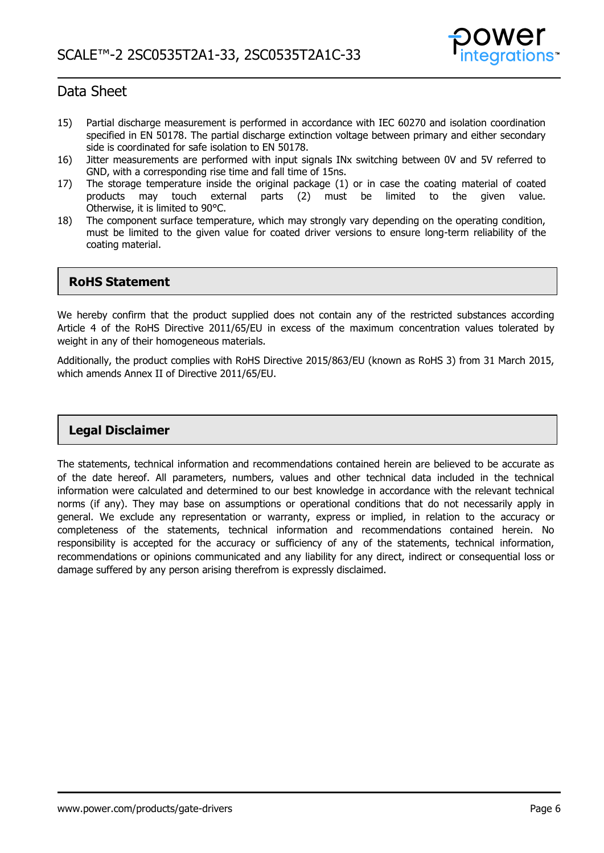

- 15) Partial discharge measurement is performed in accordance with IEC 60270 and isolation coordination specified in EN 50178. The partial discharge extinction voltage between primary and either secondary side is coordinated for safe isolation to EN 50178.
- 16) Jitter measurements are performed with input signals INx switching between 0V and 5V referred to GND, with a corresponding rise time and fall time of 15ns.
- 17) The storage temperature inside the original package (1) or in case the coating material of coated products may touch external parts (2) must be limited to the given value. Otherwise, it is limited to 90°C.
- 18) The component surface temperature, which may strongly vary depending on the operating condition, must be limited to the given value for coated driver versions to ensure long-term reliability of the coating material.

#### **RoHS Statement**

We hereby confirm that the product supplied does not contain any of the restricted substances according Article 4 of the RoHS Directive 2011/65/EU in excess of the maximum concentration values tolerated by weight in any of their homogeneous materials.

Additionally, the product complies with RoHS Directive 2015/863/EU (known as RoHS 3) from 31 March 2015, which amends Annex II of Directive 2011/65/EU.

#### **Legal Disclaimer**

The statements, technical information and recommendations contained herein are believed to be accurate as of the date hereof. All parameters, numbers, values and other technical data included in the technical information were calculated and determined to our best knowledge in accordance with the relevant technical norms (if any). They may base on assumptions or operational conditions that do not necessarily apply in general. We exclude any representation or warranty, express or implied, in relation to the accuracy or completeness of the statements, technical information and recommendations contained herein. No responsibility is accepted for the accuracy or sufficiency of any of the statements, technical information, recommendations or opinions communicated and any liability for any direct, indirect or consequential loss or damage suffered by any person arising therefrom is expressly disclaimed.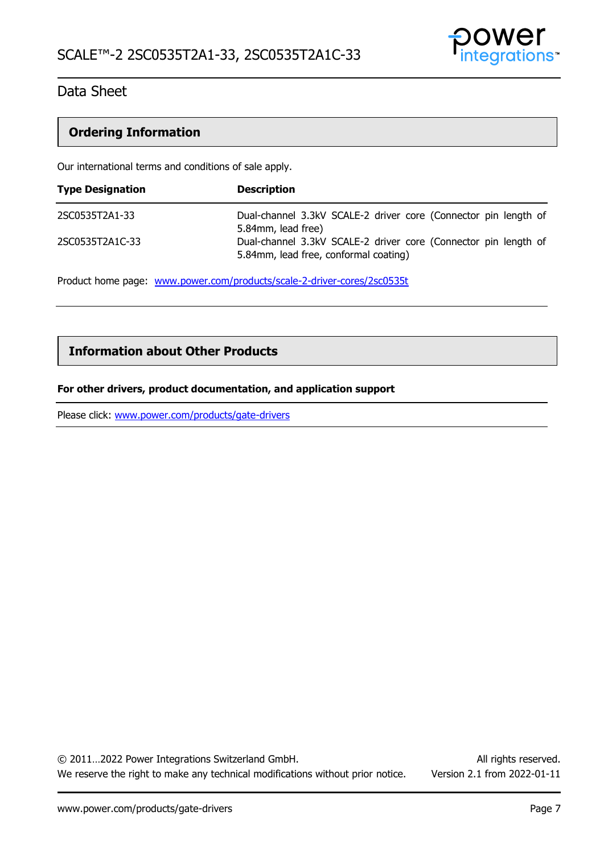

### **Ordering Information**

Our international terms and conditions of sale apply.

| <b>Type Designation</b> | <b>Description</b>                                                                                       |
|-------------------------|----------------------------------------------------------------------------------------------------------|
| 2SC0535T2A1-33          | Dual-channel 3.3kV SCALE-2 driver core (Connector pin length of<br>5.84mm, lead free)                    |
| 2SC0535T2A1C-33         | Dual-channel 3.3kV SCALE-2 driver core (Connector pin length of<br>5.84mm, lead free, conformal coating) |

Product home page: [www.power.com/products/scale-2-driver-cores/2sc0535t](http://www.power.com/products/scale-2-driver-cores/2sc0535t)

#### **Information about Other Products**

#### **For other drivers, product documentation, and application support**

Please click: [www.power.com/products/gate-drivers](http://www.power.com/products/gate-drivers)

© 2011…2022 Power Integrations Switzerland GmbH. All rights reserved. We reserve the right to make any technical modifications without prior notice. Version 2.1 from 2022-01-11